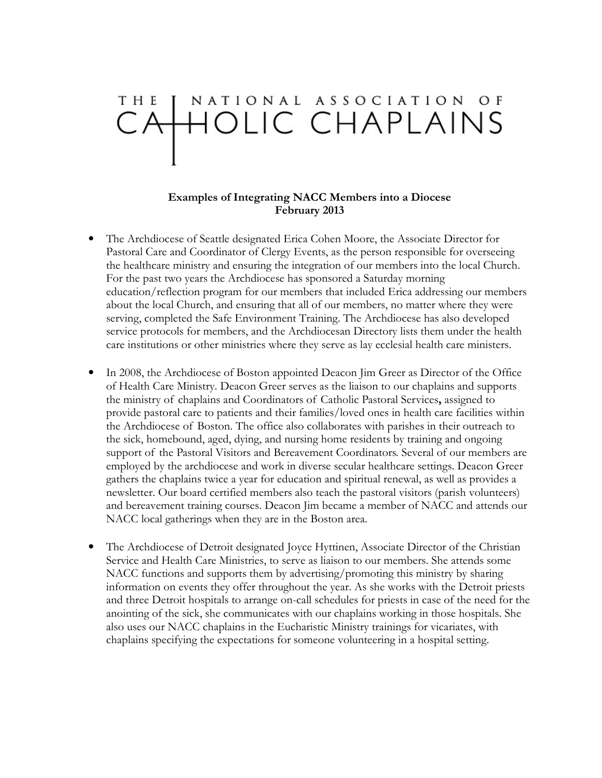## NATIONAL ASSOCIATION OF CAHOLIC CHAPLAINS

## Examples of Integrating NACC Members into a Diocese February 2013

- The Archdiocese of Seattle designated Erica Cohen Moore, the Associate Director for Pastoral Care and Coordinator of Clergy Events, as the person responsible for overseeing the healthcare ministry and ensuring the integration of our members into the local Church. For the past two years the Archdiocese has sponsored a Saturday morning education/reflection program for our members that included Erica addressing our members about the local Church, and ensuring that all of our members, no matter where they were serving, completed the Safe Environment Training. The Archdiocese has also developed service protocols for members, and the Archdiocesan Directory lists them under the health care institutions or other ministries where they serve as lay ecclesial health care ministers.
- In 2008, the Archdiocese of Boston appointed Deacon Jim Greer as Director of the Office of Health Care Ministry. Deacon Greer serves as the liaison to our chaplains and supports the ministry of chaplains and Coordinators of Catholic Pastoral Services, assigned to provide pastoral care to patients and their families/loved ones in health care facilities within the Archdiocese of Boston. The office also collaborates with parishes in their outreach to the sick, homebound, aged, dying, and nursing home residents by training and ongoing support of the Pastoral Visitors and Bereavement Coordinators. Several of our members are employed by the archdiocese and work in diverse secular healthcare settings. Deacon Greer gathers the chaplains twice a year for education and spiritual renewal, as well as provides a newsletter. Our board certified members also teach the pastoral visitors (parish volunteers) and bereavement training courses. Deacon Jim became a member of NACC and attends our NACC local gatherings when they are in the Boston area.
- The Archdiocese of Detroit designated Joyce Hyttinen, Associate Director of the Christian Service and Health Care Ministries, to serve as liaison to our members. She attends some NACC functions and supports them by advertising/promoting this ministry by sharing information on events they offer throughout the year. As she works with the Detroit priests and three Detroit hospitals to arrange on-call schedules for priests in case of the need for the anointing of the sick, she communicates with our chaplains working in those hospitals. She also uses our NACC chaplains in the Eucharistic Ministry trainings for vicariates, with chaplains specifying the expectations for someone volunteering in a hospital setting.